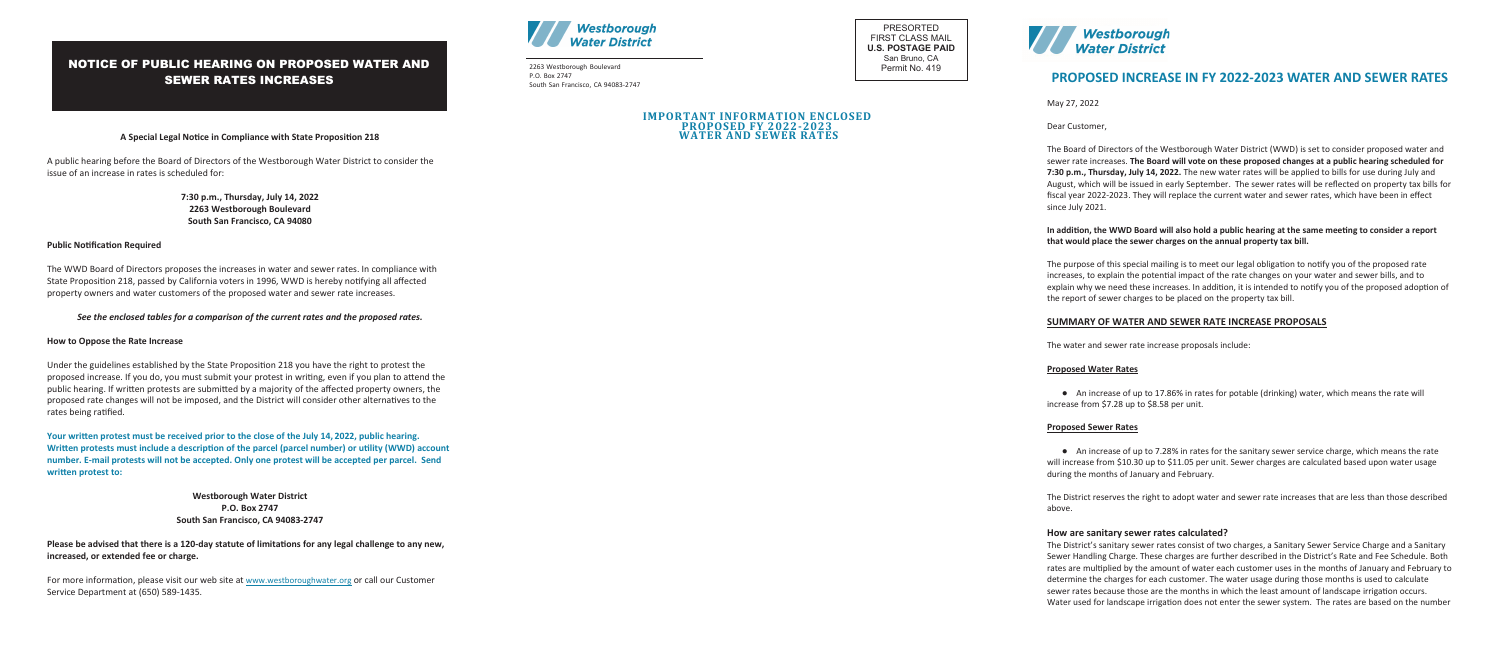**A Special Legal Notice in Compliance with State Proposition 218**

A public hearing before the Board of Directors of the Westborough Water District to consider the issue of an increase in rates is scheduled for:

> **7:30 p.m., Thursday, July 14, 2022 2263 Westborough Boulevard South San Francisco, CA 94080**

## **Public Notification Required**

The WWD Board of Directors proposes the increases in water and sewer rates. In compliance with State Proposition 218, passed by California voters in 1996, WWD is hereby notifying all affected property owners and water customers of the proposed water and sewer rate increases.

## *See the enclosed tables for a comparison of the current rates and the proposed rates.*

## **How to Oppose the Rate Increase**

For more information, please visit our web site at www.westboroughwater.org or call our Customer Service Department at (650) 589-1435.

Under the guidelines established by the State Proposition 218 you have the right to protest the proposed increase. If you do, you must submit your protest in writing, even if you plan to attend the public hearing. If written protests are submitted by a majority of the affected property owners, the proposed rate changes will not be imposed, and the District will consider other alternatives to the rates being ratified.

> **Westborough Water District P.O. Box 2747 South San Francisco, CA 94083-2747**

**Please be advised that there is a 120-day statute of limitations for any legal challenge to any new, increased, or extended fee or charge.** 

# NOTICE OF PUBLIC HEARING ON PROPOSED WATER AND SEWER RATES INCREASES



● An increase of up to 17.86% in rates for potable (drinking) water, which means the rate will increase from \$7.28 up to \$8.58 per unit.

**Your written protest must be received prior to the close of the July 14, 2022, public hearing. Written protests must include a description of the parcel (parcel number) or utility (WWD) account number. E-mail protests will not be accepted. Only one protest will be accepted per parcel. Send written protest to:** 

● An increase of up to 7.28% in rates for the sanitary sewer service charge, which means the rate will increase from \$10.30 up to \$11.05 per unit. Sewer charges are calculated based upon water usage during the months of January and February.

# **PROPOSED INCREASE IN FY 2022-2023 WATER AND SEWER RATES**

May 27, 2022

Dear Customer,

The Board of Directors of the Westborough Water District (WWD) is set to consider proposed water and sewer rate increases. **The Board will vote on these proposed changes at a public hearing scheduled for 7:30 p.m., Thursday, July 14, 2022.** The new water rates will be applied to bills for use during July and August, which will be issued in early September. The sewer rates will be reflected on property tax bills for fiscal year 2022-2023. They will replace the current water and sewer rates, which have been in effect since July 2021.

**In addition, the WWD Board will also hold a public hearing at the same meeting to consider a report that would place the sewer charges on the annual property tax bill.** 

The purpose of this special mailing is to meet our legal obligation to notify you of the proposed rate increases, to explain the potential impact of the rate changes on your water and sewer bills, and to explain why we need these increases. In addition, it is intended to notify you of the proposed adoption of the report of sewer charges to be placed on the property tax bill.

#### **SUMMARY OF WATER AND SEWER RATE INCREASE PROPOSALS**

The water and sewer rate increase proposals include:

#### **Proposed Water Rates**

#### **Proposed Sewer Rates**

The District reserves the right to adopt water and sewer rate increases that are less than those described above.

#### **How are sanitary sewer rates calculated?**

The District's sanitary sewer rates consist of two charges, a Sanitary Sewer Service Charge and a Sanitary Sewer Handling Charge. These charges are further described in the District's Rate and Fee Schedule. Both rates are multiplied by the amount of water each customer uses in the months of January and February to determine the charges for each customer. The water usage during those months is used to calculate sewer rates because those are the months in which the least amount of landscape irrigation occurs. Water used for landscape irrigation does not enter the sewer system. The rates are based on the number

2263 Westborough Boulevard P.O. Box 2747 South San Francisco, CA 94083-2747

PRESORTED FIRST CLASS MAIL **U.S. POSTAGE PAID** San Bruno, CA Permit No. 419



# **IMPORTANT INFORMATION ENCLOSED PROPOSED FY 2022-2023 WATER AND SEWER RATES**